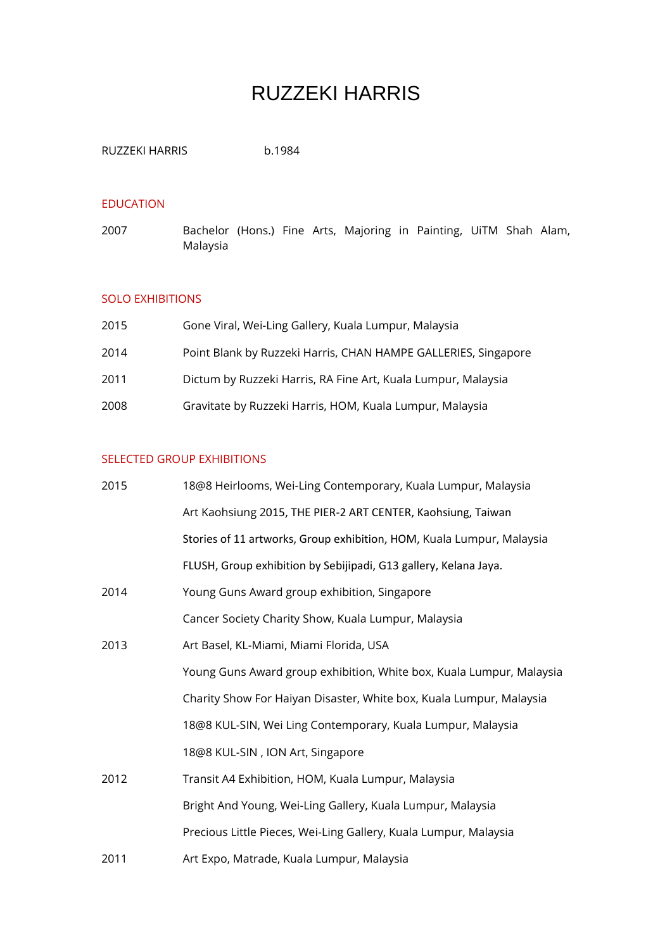# RUZZEKI HARRIS

| RUZZEKI HARRIS | b.1984 |
|----------------|--------|
|                |        |

## EDUCATION

2007 Bachelor (Hons.) Fine Arts, Majoring in Painting, UiTM Shah Alam, Malaysia

### SOLO EXHIBITIONS

| 2015 | Gone Viral, Wei-Ling Gallery, Kuala Lumpur, Malaysia           |
|------|----------------------------------------------------------------|
| 2014 | Point Blank by Ruzzeki Harris, CHAN HAMPE GALLERIES, Singapore |
| 2011 | Dictum by Ruzzeki Harris, RA Fine Art, Kuala Lumpur, Malaysia  |
| 2008 | Gravitate by Ruzzeki Harris, HOM, Kuala Lumpur, Malaysia       |

## SELECTED GROUP EXHIBITIONS

| 2015 | 18@8 Heirlooms, Wei-Ling Contemporary, Kuala Lumpur, Malaysia         |
|------|-----------------------------------------------------------------------|
|      | Art Kaohsiung 2015, THE PIER-2 ART CENTER, Kaohsiung, Taiwan          |
|      | Stories of 11 artworks, Group exhibition, HOM, Kuala Lumpur, Malaysia |
|      | FLUSH, Group exhibition by Sebijipadi, G13 gallery, Kelana Jaya.      |
| 2014 | Young Guns Award group exhibition, Singapore                          |
|      | Cancer Society Charity Show, Kuala Lumpur, Malaysia                   |
| 2013 | Art Basel, KL-Miami, Miami Florida, USA                               |
|      | Young Guns Award group exhibition, White box, Kuala Lumpur, Malaysia  |
|      | Charity Show For Haiyan Disaster, White box, Kuala Lumpur, Malaysia   |
|      | 18@8 KUL-SIN, Wei Ling Contemporary, Kuala Lumpur, Malaysia           |
|      | 18@8 KUL-SIN, ION Art, Singapore                                      |
| 2012 | Transit A4 Exhibition, HOM, Kuala Lumpur, Malaysia                    |
|      | Bright And Young, Wei-Ling Gallery, Kuala Lumpur, Malaysia            |
|      | Precious Little Pieces, Wei-Ling Gallery, Kuala Lumpur, Malaysia      |
| 2011 | Art Expo, Matrade, Kuala Lumpur, Malaysia                             |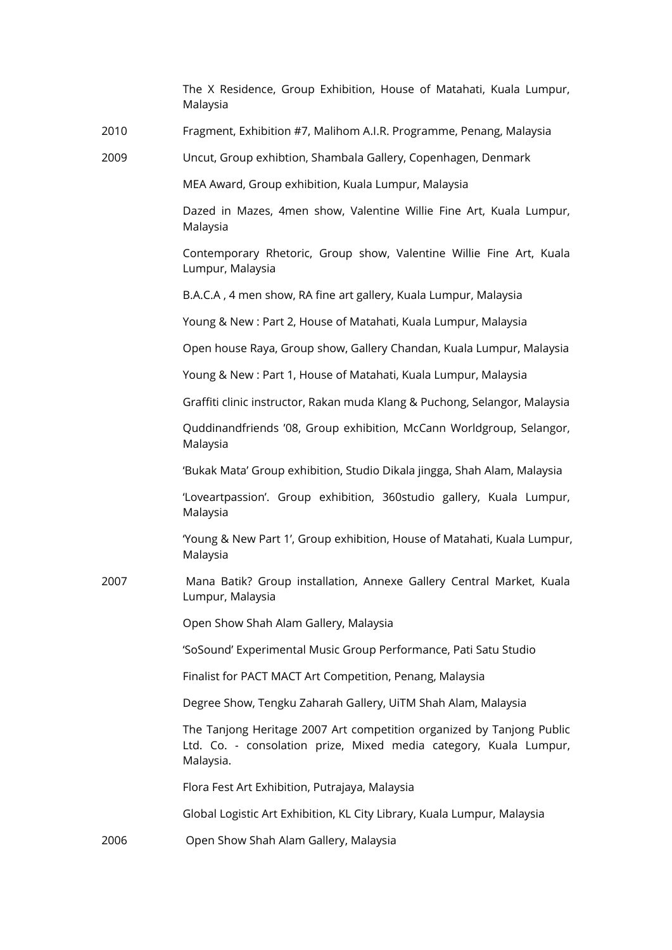|      | The X Residence, Group Exhibition, House of Matahati, Kuala Lumpur,<br>Malaysia                                                                         |
|------|---------------------------------------------------------------------------------------------------------------------------------------------------------|
| 2010 | Fragment, Exhibition #7, Malihom A.I.R. Programme, Penang, Malaysia                                                                                     |
| 2009 | Uncut, Group exhibtion, Shambala Gallery, Copenhagen, Denmark                                                                                           |
|      | MEA Award, Group exhibition, Kuala Lumpur, Malaysia                                                                                                     |
|      | Dazed in Mazes, 4men show, Valentine Willie Fine Art, Kuala Lumpur,<br>Malaysia                                                                         |
|      | Contemporary Rhetoric, Group show, Valentine Willie Fine Art, Kuala<br>Lumpur, Malaysia                                                                 |
|      | B.A.C.A, 4 men show, RA fine art gallery, Kuala Lumpur, Malaysia                                                                                        |
|      | Young & New: Part 2, House of Matahati, Kuala Lumpur, Malaysia                                                                                          |
|      | Open house Raya, Group show, Gallery Chandan, Kuala Lumpur, Malaysia                                                                                    |
|      | Young & New: Part 1, House of Matahati, Kuala Lumpur, Malaysia                                                                                          |
|      | Graffiti clinic instructor, Rakan muda Klang & Puchong, Selangor, Malaysia                                                                              |
|      | Quddinandfriends '08, Group exhibition, McCann Worldgroup, Selangor,<br>Malaysia                                                                        |
|      | 'Bukak Mata' Group exhibition, Studio Dikala jingga, Shah Alam, Malaysia                                                                                |
|      | 'Loveartpassion'. Group exhibition, 360studio gallery, Kuala Lumpur,<br>Malaysia                                                                        |
|      | 'Young & New Part 1', Group exhibition, House of Matahati, Kuala Lumpur,<br>Malaysia                                                                    |
| 2007 | Mana Batik? Group installation, Annexe Gallery Central Market, Kuala<br>Lumpur, Malaysia                                                                |
|      | Open Show Shah Alam Gallery, Malaysia                                                                                                                   |
|      | 'SoSound' Experimental Music Group Performance, Pati Satu Studio                                                                                        |
|      | Finalist for PACT MACT Art Competition, Penang, Malaysia                                                                                                |
|      | Degree Show, Tengku Zaharah Gallery, UiTM Shah Alam, Malaysia                                                                                           |
|      | The Tanjong Heritage 2007 Art competition organized by Tanjong Public<br>Ltd. Co. - consolation prize, Mixed media category, Kuala Lumpur,<br>Malaysia. |
|      | Flora Fest Art Exhibition, Putrajaya, Malaysia                                                                                                          |
|      | Global Logistic Art Exhibition, KL City Library, Kuala Lumpur, Malaysia                                                                                 |
| 2006 | Open Show Shah Alam Gallery, Malaysia                                                                                                                   |